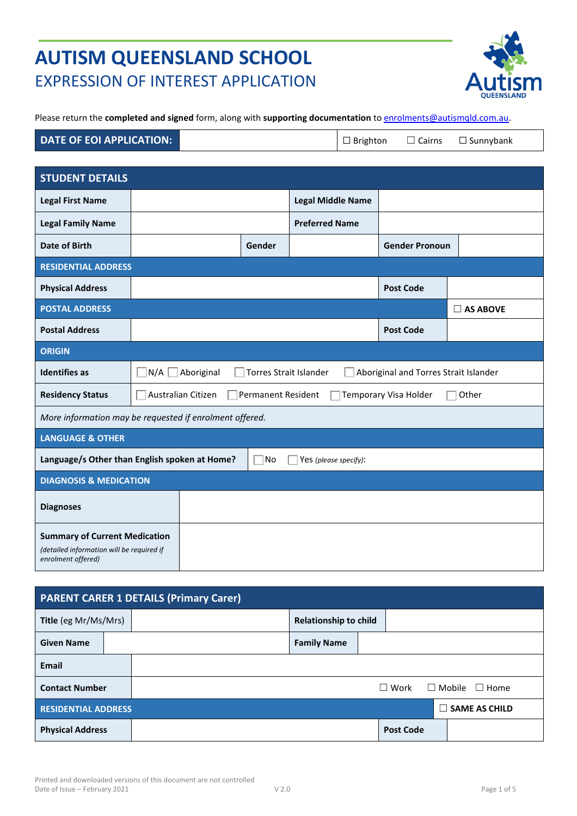# **AUTISM QUEENSLAND SCHOOL**  EXPRESSION OF INTEREST APPLICATION



Please return the **completed and signed** form, along with **supporting documentation** to [enrolments@autismqld.com.au.](mailto:enrolments@autismqld.com.au)

| DATE OF EOI APPLICATION: | $\Box$ Brighton |  | $\Box$ Cairns $\Box$ Sunnybank |
|--------------------------|-----------------|--|--------------------------------|
|--------------------------|-----------------|--|--------------------------------|

| <b>STUDENT DETAILS</b>                                                                                  |                                   |                           |                               |                          |                                       |                    |
|---------------------------------------------------------------------------------------------------------|-----------------------------------|---------------------------|-------------------------------|--------------------------|---------------------------------------|--------------------|
| <b>Legal First Name</b>                                                                                 |                                   |                           |                               | <b>Legal Middle Name</b> |                                       |                    |
| <b>Legal Family Name</b>                                                                                |                                   |                           |                               | <b>Preferred Name</b>    |                                       |                    |
| Date of Birth                                                                                           |                                   |                           | Gender                        |                          | <b>Gender Pronoun</b>                 |                    |
| <b>RESIDENTIAL ADDRESS</b>                                                                              |                                   |                           |                               |                          |                                       |                    |
| <b>Physical Address</b>                                                                                 |                                   |                           |                               |                          | <b>Post Code</b>                      |                    |
| <b>POSTAL ADDRESS</b>                                                                                   |                                   |                           |                               |                          |                                       | $\square$ AS ABOVE |
| <b>Postal Address</b>                                                                                   |                                   |                           |                               |                          | <b>Post Code</b>                      |                    |
| <b>ORIGIN</b>                                                                                           |                                   |                           |                               |                          |                                       |                    |
| <b>Identifies as</b>                                                                                    | N/A                               | Aboriginal                | <b>Torres Strait Islander</b> |                          | Aboriginal and Torres Strait Islander |                    |
| <b>Residency Status</b>                                                                                 |                                   | <b>Australian Citizen</b> | <b>Permanent Resident</b>     |                          | Temporary Visa Holder                 | Other              |
| More information may be requested if enrolment offered.                                                 |                                   |                           |                               |                          |                                       |                    |
| <b>LANGUAGE &amp; OTHER</b>                                                                             |                                   |                           |                               |                          |                                       |                    |
| Language/s Other than English spoken at Home?<br> No<br>Yes (please specify):                           |                                   |                           |                               |                          |                                       |                    |
|                                                                                                         | <b>DIAGNOSIS &amp; MEDICATION</b> |                           |                               |                          |                                       |                    |
| <b>Diagnoses</b>                                                                                        |                                   |                           |                               |                          |                                       |                    |
| <b>Summary of Current Medication</b><br>(detailed information will be required if<br>enrolment offered) |                                   |                           |                               |                          |                                       |                    |

| <b>PARENT CARER 1 DETAILS (Primary Carer)</b> |  |  |                              |  |                  |                           |
|-----------------------------------------------|--|--|------------------------------|--|------------------|---------------------------|
| Title (eg Mr/Ms/Mrs)                          |  |  | <b>Relationship to child</b> |  |                  |                           |
| <b>Given Name</b>                             |  |  | <b>Family Name</b>           |  |                  |                           |
| <b>Email</b>                                  |  |  |                              |  |                  |                           |
| <b>Contact Number</b>                         |  |  |                              |  | $\Box$ Work      | $\Box$ Mobile $\Box$ Home |
| <b>RESIDENTIAL ADDRESS</b>                    |  |  |                              |  |                  | $\Box$ SAME AS CHILD      |
| <b>Physical Address</b>                       |  |  |                              |  | <b>Post Code</b> |                           |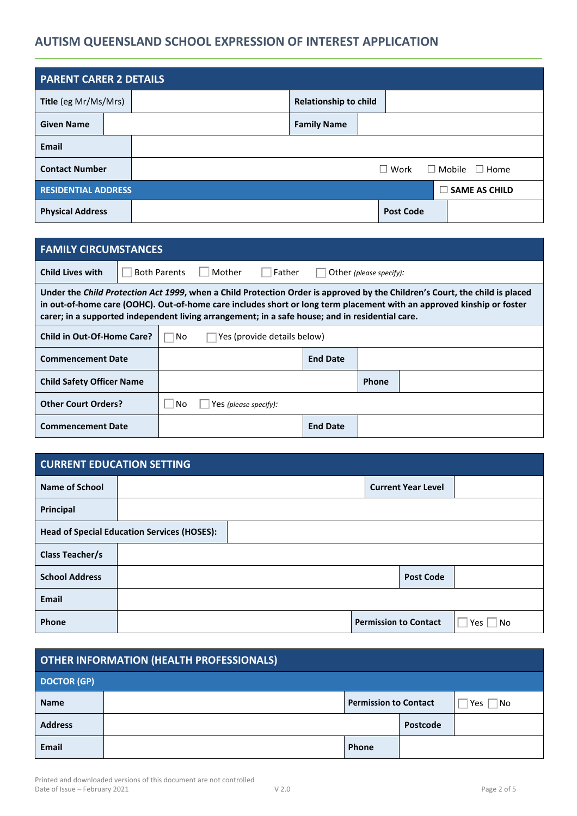# **AUTISM QUEENSLAND SCHOOL EXPRESSION OF INTEREST APPLICATION**

| <b>PARENT CARER 2 DETAILS</b> |  |  |                              |  |                  |                             |
|-------------------------------|--|--|------------------------------|--|------------------|-----------------------------|
| Title (eg Mr/Ms/Mrs)          |  |  | <b>Relationship to child</b> |  |                  |                             |
| <b>Given Name</b>             |  |  | <b>Family Name</b>           |  |                  |                             |
| Email                         |  |  |                              |  |                  |                             |
| <b>Contact Number</b>         |  |  |                              |  | $\Box$ Work      | $\Box$ Mobile $\Box$ Home   |
| <b>RESIDENTIAL ADDRESS</b>    |  |  |                              |  |                  | <b>SAME AS CHILD</b><br>- 1 |
| <b>Physical Address</b>       |  |  |                              |  | <b>Post Code</b> |                             |

| <b>FAMILY CIRCUMSTANCES</b>                                                                                                                                                                                                                                                                                                                             |                             |                             |  |  |  |  |
|---------------------------------------------------------------------------------------------------------------------------------------------------------------------------------------------------------------------------------------------------------------------------------------------------------------------------------------------------------|-----------------------------|-----------------------------|--|--|--|--|
| Mother<br><b>Child Lives with</b><br><b>Both Parents</b><br>Father<br>Other (please specify):                                                                                                                                                                                                                                                           |                             |                             |  |  |  |  |
| Under the Child Protection Act 1999, when a Child Protection Order is approved by the Children's Court, the child is placed<br>in out-of-home care (OOHC). Out-of-home care includes short or long term placement with an approved kinship or foster<br>carer; in a supported independent living arrangement; in a safe house; and in residential care. |                             |                             |  |  |  |  |
| <b>Child in Out-Of-Home Care?</b>                                                                                                                                                                                                                                                                                                                       | No.                         | Yes (provide details below) |  |  |  |  |
| <b>Commencement Date</b>                                                                                                                                                                                                                                                                                                                                | <b>End Date</b>             |                             |  |  |  |  |
| <b>Child Safety Officer Name</b>                                                                                                                                                                                                                                                                                                                        | <b>Phone</b>                |                             |  |  |  |  |
| <b>Other Court Orders?</b>                                                                                                                                                                                                                                                                                                                              | No<br>Yes (please specify): |                             |  |  |  |  |
| <b>Commencement Date</b>                                                                                                                                                                                                                                                                                                                                | <b>End Date</b>             |                             |  |  |  |  |

| <b>CURRENT EDUCATION SETTING</b> |                                                    |  |  |                              |           |  |
|----------------------------------|----------------------------------------------------|--|--|------------------------------|-----------|--|
| <b>Name of School</b>            |                                                    |  |  | <b>Current Year Level</b>    |           |  |
| Principal                        |                                                    |  |  |                              |           |  |
|                                  | <b>Head of Special Education Services (HOSES):</b> |  |  |                              |           |  |
| <b>Class Teacher/s</b>           |                                                    |  |  |                              |           |  |
| <b>School Address</b>            | <b>Post Code</b>                                   |  |  |                              |           |  |
| Email                            |                                                    |  |  |                              |           |  |
| Phone                            |                                                    |  |  | <b>Permission to Contact</b> | No<br>Yes |  |

| <b>OTHER INFORMATION (HEALTH PROFESSIONALS)</b> |  |                              |          |            |
|-------------------------------------------------|--|------------------------------|----------|------------|
| <b>DOCTOR (GP)</b>                              |  |                              |          |            |
| <b>Name</b>                                     |  | <b>Permission to Contact</b> |          | No.<br>Yes |
| <b>Address</b>                                  |  |                              | Postcode |            |
| Email                                           |  | Phone                        |          |            |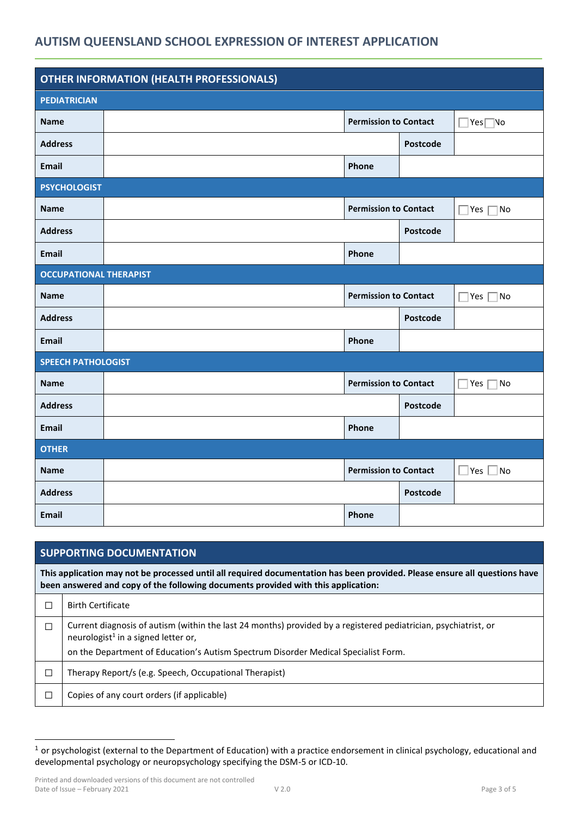## **AUTISM QUEENSLAND SCHOOL EXPRESSION OF INTEREST APPLICATION**

| <b>OTHER INFORMATION (HEALTH PROFESSIONALS)</b> |  |                              |                 |                        |  |
|-------------------------------------------------|--|------------------------------|-----------------|------------------------|--|
| <b>PEDIATRICIAN</b>                             |  |                              |                 |                        |  |
| <b>Name</b>                                     |  | <b>Permission to Contact</b> |                 | ∣Yes∏No                |  |
| <b>Address</b>                                  |  |                              | <b>Postcode</b> |                        |  |
| <b>Email</b>                                    |  | Phone                        |                 |                        |  |
| <b>PSYCHOLOGIST</b>                             |  |                              |                 |                        |  |
| <b>Name</b>                                     |  | <b>Permission to Contact</b> |                 | Yes  <br>No            |  |
| <b>Address</b>                                  |  |                              | <b>Postcode</b> |                        |  |
| Email                                           |  | Phone                        |                 |                        |  |
| <b>OCCUPATIONAL THERAPIST</b>                   |  |                              |                 |                        |  |
| <b>Name</b>                                     |  | <b>Permission to Contact</b> |                 | $\forall$ es $\Box$ No |  |
| <b>Address</b>                                  |  |                              | <b>Postcode</b> |                        |  |
| <b>Email</b>                                    |  | Phone                        |                 |                        |  |
| <b>SPEECH PATHOLOGIST</b>                       |  |                              |                 |                        |  |
| <b>Name</b>                                     |  | <b>Permission to Contact</b> |                 | ∏No<br>Yes $\Gamma$    |  |
| <b>Address</b>                                  |  |                              | <b>Postcode</b> |                        |  |
| <b>Email</b>                                    |  | Phone                        |                 |                        |  |
| <b>OTHER</b>                                    |  |                              |                 |                        |  |
| <b>Name</b>                                     |  | <b>Permission to Contact</b> |                 | $\vert$ Yes $\vert$ No |  |
| <b>Address</b>                                  |  |                              | Postcode        |                        |  |
| <b>Email</b>                                    |  | Phone                        |                 |                        |  |

|        | <b>SUPPORTING DOCUMENTATION</b>                                                                                                                                                                                 |  |  |  |  |  |  |
|--------|-----------------------------------------------------------------------------------------------------------------------------------------------------------------------------------------------------------------|--|--|--|--|--|--|
|        | This application may not be processed until all required documentation has been provided. Please ensure all questions have<br>been answered and copy of the following documents provided with this application: |  |  |  |  |  |  |
| П      | <b>Birth Certificate</b>                                                                                                                                                                                        |  |  |  |  |  |  |
| $\Box$ | Current diagnosis of autism (within the last 24 months) provided by a registered pediatrician, psychiatrist, or<br>neurologist <sup>1</sup> in a signed letter or,                                              |  |  |  |  |  |  |
|        | on the Department of Education's Autism Spectrum Disorder Medical Specialist Form.                                                                                                                              |  |  |  |  |  |  |
| П      | Therapy Report/s (e.g. Speech, Occupational Therapist)                                                                                                                                                          |  |  |  |  |  |  |
| П      | Copies of any court orders (if applicable)                                                                                                                                                                      |  |  |  |  |  |  |

<sup>1</sup> or psychologist (external to the Department of Education) with a practice endorsement in clinical psychology, educational and developmental psychology or neuropsychology specifying the DSM-5 or ICD-10.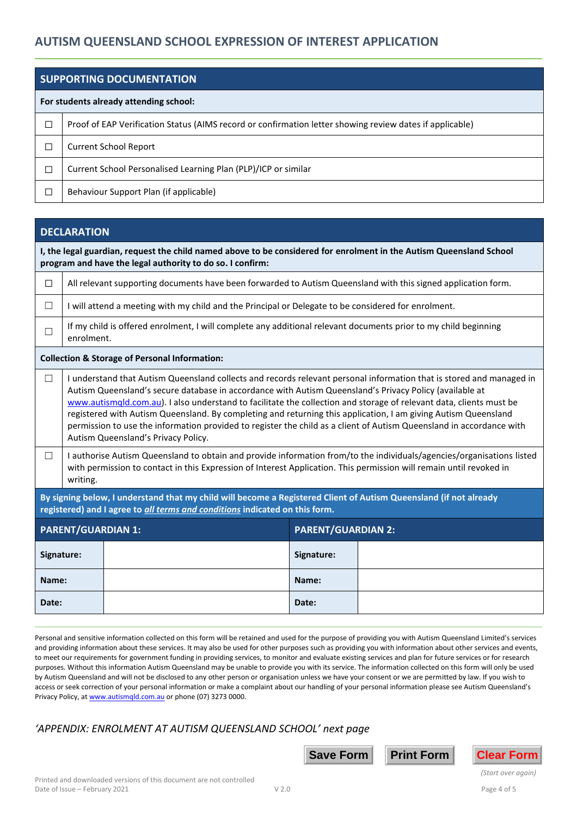|                          | SUPPORTING DOCUMENTATION                                                                                 |  |  |  |  |
|--------------------------|----------------------------------------------------------------------------------------------------------|--|--|--|--|
|                          | For students already attending school:                                                                   |  |  |  |  |
| ⊐                        | Proof of EAP Verification Status (AIMS record or confirmation letter showing review dates if applicable) |  |  |  |  |
| $\overline{\phantom{a}}$ | <b>Current School Report</b>                                                                             |  |  |  |  |
| ப                        | Current School Personalised Learning Plan (PLP)/ICP or similar                                           |  |  |  |  |
| - 1                      | Behaviour Support Plan (if applicable)                                                                   |  |  |  |  |

|                           | <b>DECLARATION</b>                                                                                                                                                                                                                                                                                                                                                                                                                                                                                                                                                                                                                      |                                                                                                                                                                                                                                              |                           |  |  |  |  |
|---------------------------|-----------------------------------------------------------------------------------------------------------------------------------------------------------------------------------------------------------------------------------------------------------------------------------------------------------------------------------------------------------------------------------------------------------------------------------------------------------------------------------------------------------------------------------------------------------------------------------------------------------------------------------------|----------------------------------------------------------------------------------------------------------------------------------------------------------------------------------------------------------------------------------------------|---------------------------|--|--|--|--|
|                           | I, the legal guardian, request the child named above to be considered for enrolment in the Autism Queensland School<br>program and have the legal authority to do so. I confirm:                                                                                                                                                                                                                                                                                                                                                                                                                                                        |                                                                                                                                                                                                                                              |                           |  |  |  |  |
| $\Box$                    | All relevant supporting documents have been forwarded to Autism Queensland with this signed application form.                                                                                                                                                                                                                                                                                                                                                                                                                                                                                                                           |                                                                                                                                                                                                                                              |                           |  |  |  |  |
| $\Box$                    |                                                                                                                                                                                                                                                                                                                                                                                                                                                                                                                                                                                                                                         | I will attend a meeting with my child and the Principal or Delegate to be considered for enrolment.                                                                                                                                          |                           |  |  |  |  |
| $\Box$                    | enrolment.                                                                                                                                                                                                                                                                                                                                                                                                                                                                                                                                                                                                                              | If my child is offered enrolment, I will complete any additional relevant documents prior to my child beginning                                                                                                                              |                           |  |  |  |  |
|                           |                                                                                                                                                                                                                                                                                                                                                                                                                                                                                                                                                                                                                                         | <b>Collection &amp; Storage of Personal Information:</b>                                                                                                                                                                                     |                           |  |  |  |  |
| $\Box$                    | I understand that Autism Queensland collects and records relevant personal information that is stored and managed in<br>Autism Queensland's secure database in accordance with Autism Queensland's Privacy Policy (available at<br>www.autismqld.com.au). I also understand to facilitate the collection and storage of relevant data, clients must be<br>registered with Autism Queensland. By completing and returning this application, I am giving Autism Queensland<br>permission to use the information provided to register the child as a client of Autism Queensland in accordance with<br>Autism Queensland's Privacy Policy. |                                                                                                                                                                                                                                              |                           |  |  |  |  |
| $\Box$                    | writing.                                                                                                                                                                                                                                                                                                                                                                                                                                                                                                                                                                                                                                | I authorise Autism Queensland to obtain and provide information from/to the individuals/agencies/organisations listed<br>with permission to contact in this Expression of Interest Application. This permission will remain until revoked in |                           |  |  |  |  |
|                           | By signing below, I understand that my child will become a Registered Client of Autism Queensland (if not already<br>registered) and I agree to all terms and conditions indicated on this form.                                                                                                                                                                                                                                                                                                                                                                                                                                        |                                                                                                                                                                                                                                              |                           |  |  |  |  |
| <b>PARENT/GUARDIAN 1:</b> |                                                                                                                                                                                                                                                                                                                                                                                                                                                                                                                                                                                                                                         |                                                                                                                                                                                                                                              | <b>PARENT/GUARDIAN 2:</b> |  |  |  |  |
|                           | Signature:                                                                                                                                                                                                                                                                                                                                                                                                                                                                                                                                                                                                                              |                                                                                                                                                                                                                                              | Signature:                |  |  |  |  |
| Name:                     |                                                                                                                                                                                                                                                                                                                                                                                                                                                                                                                                                                                                                                         |                                                                                                                                                                                                                                              | Name:                     |  |  |  |  |
| Date:                     |                                                                                                                                                                                                                                                                                                                                                                                                                                                                                                                                                                                                                                         |                                                                                                                                                                                                                                              | Date:                     |  |  |  |  |

Personal and sensitive information collected on this form will be retained and used for the purpose of providing you with Autism Queensland Limited's services and providing information about these services. It may also be used for other purposes such as providing you with information about other services and events, to meet our requirements for government funding in providing services, to monitor and evaluate existing services and plan for future services or for research purposes. Without this information Autism Queensland may be unable to provide you with its service. The information collected on this form will only be used by Autism Queensland and will not be disclosed to any other person or organisation unless we have your consent or we are permitted by law. If you wish to access or seek correction of your personal information or make a complaint about our handling of your personal information please see Autism Queensland's Privacy Policy, a[t www.autismqld.com.au](http://www.autismqld.com.au/) or phone (07) 3273 0000.

## *'APPENDIX: ENROLMENT AT AUTISM QUEENSLAND SCHOOL' next page*





*(Start over again)*